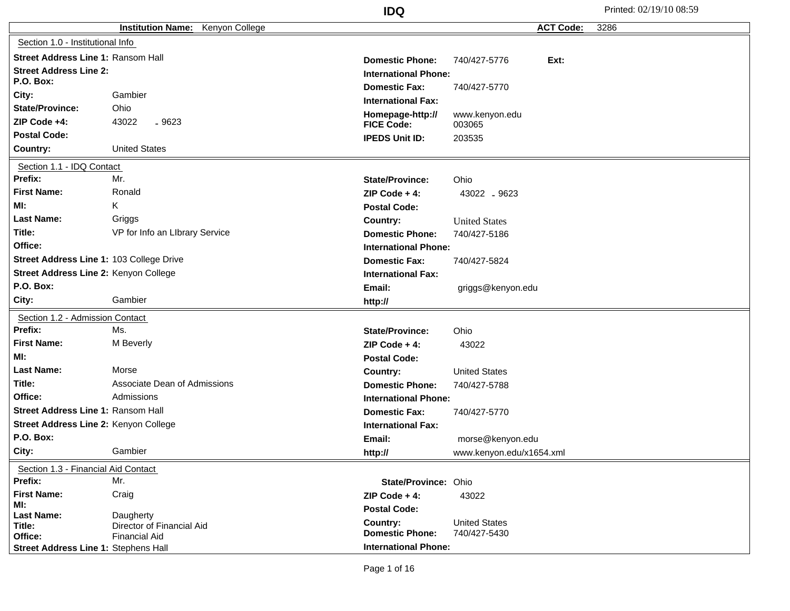|                                            | Kenyon College<br><b>Institution Name:</b> |                                       | <b>ACT Code:</b><br>3286 |
|--------------------------------------------|--------------------------------------------|---------------------------------------|--------------------------|
| Section 1.0 - Institutional Info           |                                            |                                       |                          |
|                                            |                                            |                                       |                          |
| <b>Street Address Line 1: Ransom Hall</b>  |                                            | <b>Domestic Phone:</b>                | Ext:<br>740/427-5776     |
| <b>Street Address Line 2:</b><br>P.O. Box: |                                            | <b>International Phone:</b>           |                          |
| City:                                      | Gambier                                    | <b>Domestic Fax:</b>                  | 740/427-5770             |
| <b>State/Province:</b>                     | Ohio                                       | <b>International Fax:</b>             |                          |
| ZIP Code +4:                               | 43022<br>$-9623$                           | Homepage-http://<br><b>FICE Code:</b> | www.kenyon.edu<br>003065 |
| <b>Postal Code:</b>                        |                                            | <b>IPEDS Unit ID:</b>                 | 203535                   |
| Country:                                   | <b>United States</b>                       |                                       |                          |
| Section 1.1 - IDQ Contact                  |                                            |                                       |                          |
| Prefix:                                    | Mr.                                        | <b>State/Province:</b>                | Ohio                     |
| <b>First Name:</b>                         | Ronald                                     | $ZIP Code + 4:$                       | 43022 .9623              |
| MI:                                        | Κ                                          | <b>Postal Code:</b>                   |                          |
| <b>Last Name:</b>                          | Griggs                                     | Country:                              | <b>United States</b>     |
| Title:                                     | VP for Info an LIbrary Service             | <b>Domestic Phone:</b>                | 740/427-5186             |
| Office:                                    |                                            | <b>International Phone:</b>           |                          |
| Street Address Line 1: 103 College Drive   |                                            | <b>Domestic Fax:</b>                  | 740/427-5824             |
| Street Address Line 2: Kenyon College      |                                            | <b>International Fax:</b>             |                          |
| P.O. Box:                                  |                                            | Email:                                | griggs@kenyon.edu        |
| City:                                      | Gambier                                    | http://                               |                          |
| Section 1.2 - Admission Contact            |                                            |                                       |                          |
| Prefix:                                    | Ms.                                        | <b>State/Province:</b>                | Ohio                     |
| <b>First Name:</b>                         | M Beverly                                  | ZIP Code $+4$ :                       | 43022                    |
| MI:                                        |                                            | <b>Postal Code:</b>                   |                          |
| <b>Last Name:</b>                          | Morse                                      | Country:                              | <b>United States</b>     |
| Title:                                     | Associate Dean of Admissions               | <b>Domestic Phone:</b>                | 740/427-5788             |
| Office:                                    | Admissions                                 | <b>International Phone:</b>           |                          |
| Street Address Line 1: Ransom Hall         |                                            | <b>Domestic Fax:</b>                  | 740/427-5770             |
| Street Address Line 2: Kenyon College      |                                            | <b>International Fax:</b>             |                          |
| P.O. Box:                                  |                                            | Email:                                | morse@kenyon.edu         |
| City:                                      | Gambier                                    | http://                               | www.kenyon.edu/x1654.xml |
| Section 1.3 - Financial Aid Contact        |                                            |                                       |                          |
| Prefix:                                    | Mr.                                        | State/Province: Ohio                  |                          |
| <b>First Name:</b>                         | Craig                                      | $ZIP Code + 4:$                       | 43022                    |
| MI:<br><b>Last Name:</b>                   | Daugherty                                  | <b>Postal Code:</b>                   |                          |
| Title:                                     | Director of Financial Aid                  | Country:                              | <b>United States</b>     |
| Office:                                    | <b>Financial Aid</b>                       | <b>Domestic Phone:</b>                | 740/427-5430             |
| Street Address Line 1: Stephens Hall       |                                            | <b>International Phone:</b>           |                          |

Page 1 of 16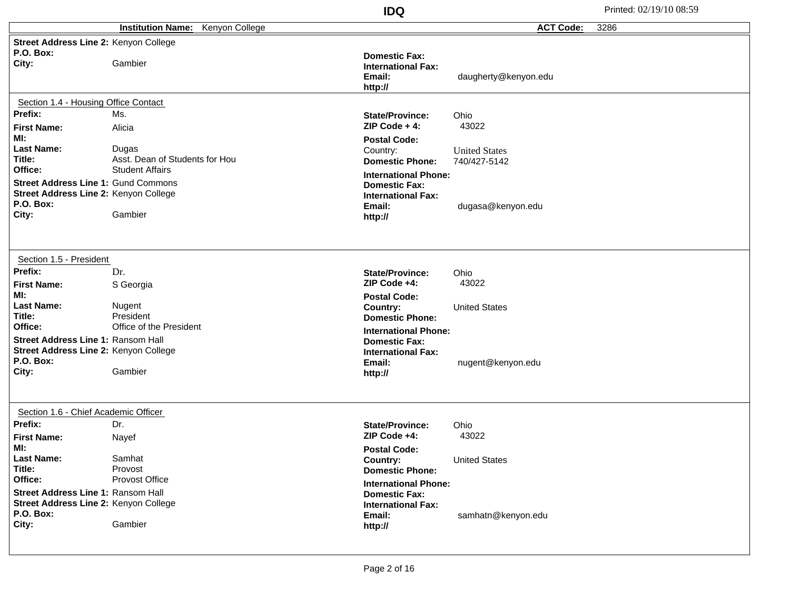|                                                                                                                               |                                                                   | <b>IDQ</b>                                                                                                                      |                                      | Printed: 02/19/10 08:59 |
|-------------------------------------------------------------------------------------------------------------------------------|-------------------------------------------------------------------|---------------------------------------------------------------------------------------------------------------------------------|--------------------------------------|-------------------------|
|                                                                                                                               | <b>Institution Name:</b><br>Kenyon College                        |                                                                                                                                 | <b>ACT Code:</b>                     | 3286                    |
| Street Address Line 2: Kenyon College<br>P.O. Box:                                                                            |                                                                   | <b>Domestic Fax:</b>                                                                                                            |                                      |                         |
| City:                                                                                                                         | Gambier                                                           | <b>International Fax:</b><br>Email:<br>http://                                                                                  | daugherty@kenyon.edu                 |                         |
| Section 1.4 - Housing Office Contact                                                                                          |                                                                   |                                                                                                                                 |                                      |                         |
| Prefix:<br><b>First Name:</b>                                                                                                 | Ms.<br>Alicia                                                     | <b>State/Province:</b><br>$ZIP Code + 4:$                                                                                       | Ohio<br>43022                        |                         |
| MI:<br><b>Last Name:</b><br>Title:<br>Office:                                                                                 | Dugas<br>Asst. Dean of Students for Hou<br><b>Student Affairs</b> | <b>Postal Code:</b><br>Country:<br><b>Domestic Phone:</b>                                                                       | <b>United States</b><br>740/427-5142 |                         |
| <b>Street Address Line 1: Gund Commons</b><br>Street Address Line 2: Kenyon College<br>P.O. Box:<br>City:                     | Gambier                                                           | <b>International Phone:</b><br><b>Domestic Fax:</b><br><b>International Fax:</b><br>Email:<br>http://                           | dugasa@kenyon.edu                    |                         |
| Section 1.5 - President<br>Prefix:                                                                                            | Dr.                                                               | <b>State/Province:</b>                                                                                                          | Ohio                                 |                         |
| <b>First Name:</b><br>MI:<br><b>Last Name:</b>                                                                                | S Georgia<br>Nugent                                               | ZIP Code +4:<br><b>Postal Code:</b><br>Country:                                                                                 | 43022<br><b>United States</b>        |                         |
| Title:<br>Office:<br><b>Street Address Line 1: Ransom Hall</b><br>Street Address Line 2: Kenyon College<br>P.O. Box:<br>City: | President<br>Office of the President<br>Gambier                   | <b>Domestic Phone:</b><br><b>International Phone:</b><br><b>Domestic Fax:</b><br><b>International Fax:</b><br>Email:<br>http:// | nugent@kenyon.edu                    |                         |
| Section 1.6 - Chief Academic Officer<br>Prefix:<br><b>First Name:</b>                                                         | Dr.<br>Nayef                                                      | <b>State/Province:</b><br>ZIP Code +4:                                                                                          | Ohio<br>43022                        |                         |
| MI:<br><b>Last Name:</b><br>Title:                                                                                            | Samhat<br>Provost                                                 | <b>Postal Code:</b><br>Country:<br><b>Domestic Phone:</b>                                                                       | <b>United States</b>                 |                         |
| Office:<br>Street Address Line 1: Ransom Hall<br>Street Address Line 2: Kenyon College<br>P.O. Box:<br>City:                  | Provost Office<br>Gambier                                         | <b>International Phone:</b><br><b>Domestic Fax:</b><br><b>International Fax:</b><br>Email:<br>http://                           | samhatn@kenyon.edu                   |                         |
|                                                                                                                               |                                                                   |                                                                                                                                 |                                      |                         |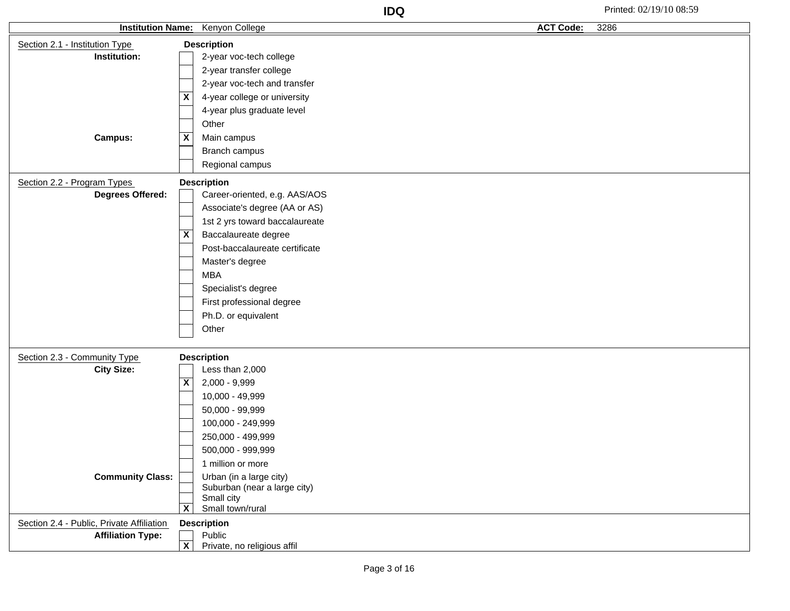| <b>Institution Name:</b>                  | <b>Kenyon College</b>                                   | <b>ACT Code:</b><br>3286 |
|-------------------------------------------|---------------------------------------------------------|--------------------------|
| Section 2.1 - Institution Type            | <b>Description</b>                                      |                          |
| Institution:                              | 2-year voc-tech college                                 |                          |
|                                           | 2-year transfer college                                 |                          |
|                                           | 2-year voc-tech and transfer                            |                          |
|                                           | 4-year college or university<br>$\overline{\mathbf{X}}$ |                          |
|                                           | 4-year plus graduate level                              |                          |
|                                           | Other                                                   |                          |
| <b>Campus:</b>                            | $\overline{\mathbf{X}}$<br>Main campus                  |                          |
|                                           | Branch campus                                           |                          |
|                                           | Regional campus                                         |                          |
| Section 2.2 - Program Types               | <b>Description</b>                                      |                          |
| <b>Degrees Offered:</b>                   | Career-oriented, e.g. AAS/AOS                           |                          |
|                                           | Associate's degree (AA or AS)                           |                          |
|                                           | 1st 2 yrs toward baccalaureate                          |                          |
|                                           | X<br>Baccalaureate degree                               |                          |
|                                           | Post-baccalaureate certificate                          |                          |
|                                           | Master's degree                                         |                          |
|                                           | <b>MBA</b>                                              |                          |
|                                           | Specialist's degree                                     |                          |
|                                           | First professional degree                               |                          |
|                                           | Ph.D. or equivalent                                     |                          |
|                                           | Other                                                   |                          |
|                                           |                                                         |                          |
| Section 2.3 - Community Type              | <b>Description</b>                                      |                          |
| <b>City Size:</b>                         | Less than 2,000                                         |                          |
|                                           | $\overline{\mathbf{x}}$<br>2,000 - 9,999                |                          |
|                                           | 10,000 - 49,999                                         |                          |
|                                           | $50,000 - 99,999$                                       |                          |
|                                           | 100,000 - 249,999                                       |                          |
|                                           | 250,000 - 499,999                                       |                          |
|                                           | 500,000 - 999,999                                       |                          |
|                                           | 1 million or more                                       |                          |
| <b>Community Class:</b>                   | Urban (in a large city)                                 |                          |
|                                           | Suburban (near a large city)<br>Small city              |                          |
|                                           | $\overline{\mathbf{x}}$<br>Small town/rural             |                          |
| Section 2.4 - Public, Private Affiliation | <b>Description</b>                                      |                          |
| <b>Affiliation Type:</b>                  | Public                                                  |                          |
|                                           | $\overline{\mathbf{x}}$<br>Private, no religious affil  |                          |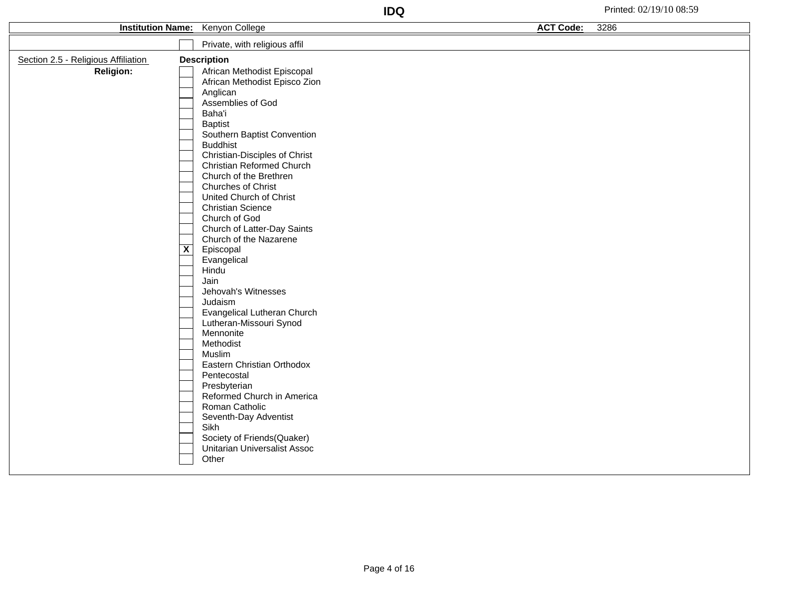| <b>Institution Name:</b>            | Kenyon College                                                                                                                                                                                                                                                                                                                                                                                                                                                                                                                                                                                        | <b>ACT Code:</b><br>3286 |
|-------------------------------------|-------------------------------------------------------------------------------------------------------------------------------------------------------------------------------------------------------------------------------------------------------------------------------------------------------------------------------------------------------------------------------------------------------------------------------------------------------------------------------------------------------------------------------------------------------------------------------------------------------|--------------------------|
|                                     | Private, with religious affil                                                                                                                                                                                                                                                                                                                                                                                                                                                                                                                                                                         |                          |
| Section 2.5 - Religious Affiliation | <b>Description</b>                                                                                                                                                                                                                                                                                                                                                                                                                                                                                                                                                                                    |                          |
| <b>Religion:</b>                    | African Methodist Episcopal<br>African Methodist Episco Zion<br>Anglican<br>Assemblies of God<br>Baha'i<br><b>Baptist</b><br>Southern Baptist Convention<br><b>Buddhist</b><br><b>Christian-Disciples of Christ</b><br>Christian Reformed Church<br>Church of the Brethren<br>Churches of Christ<br>United Church of Christ<br><b>Christian Science</b><br>Church of God<br>Church of Latter-Day Saints<br>Church of the Nazarene<br>$\overline{\mathbf{x}}$<br>Episcopal<br>Evangelical<br>Hindu<br>Jain<br>Jehovah's Witnesses<br>Judaism<br>Evangelical Lutheran Church<br>Lutheran-Missouri Synod |                          |
|                                     | Mennonite<br>Methodist<br>Muslim<br>Eastern Christian Orthodox<br>Pentecostal<br>Presbyterian<br>Reformed Church in America<br>Roman Catholic<br>Seventh-Day Adventist<br>Sikh<br>Society of Friends(Quaker)<br><b>Unitarian Universalist Assoc</b><br>Other                                                                                                                                                                                                                                                                                                                                          |                          |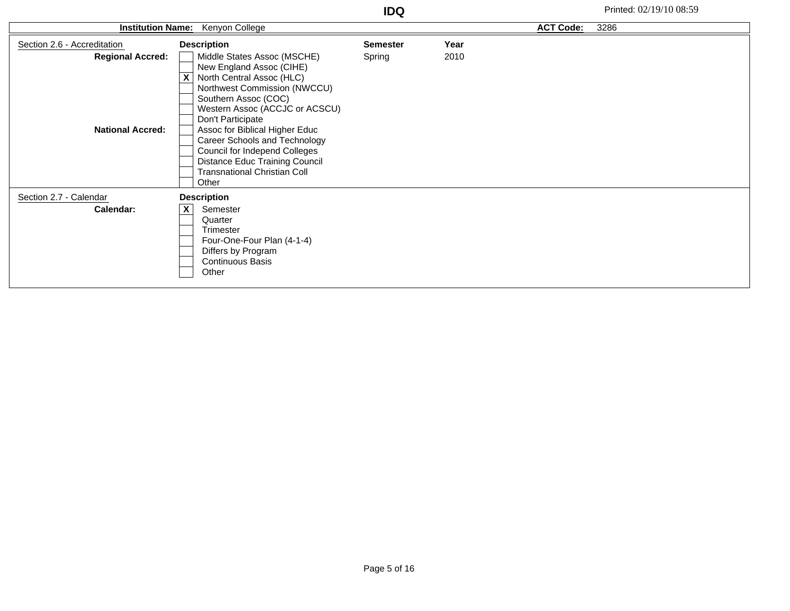| <b>Institution Name:</b>    | Kenyon College                      |                 |      | <b>ACT Code:</b> | 3286 |
|-----------------------------|-------------------------------------|-----------------|------|------------------|------|
| Section 2.6 - Accreditation | <b>Description</b>                  | <b>Semester</b> | Year |                  |      |
| <b>Regional Accred:</b>     | Middle States Assoc (MSCHE)         | Spring          | 2010 |                  |      |
|                             | New England Assoc (CIHE)            |                 |      |                  |      |
|                             | X<br>North Central Assoc (HLC)      |                 |      |                  |      |
|                             | Northwest Commission (NWCCU)        |                 |      |                  |      |
|                             | Southern Assoc (COC)                |                 |      |                  |      |
|                             | Western Assoc (ACCJC or ACSCU)      |                 |      |                  |      |
|                             | Don't Participate                   |                 |      |                  |      |
| <b>National Accred:</b>     | Assoc for Biblical Higher Educ      |                 |      |                  |      |
|                             | Career Schools and Technology       |                 |      |                  |      |
|                             | Council for Independ Colleges       |                 |      |                  |      |
|                             | Distance Educ Training Council      |                 |      |                  |      |
|                             | <b>Transnational Christian Coll</b> |                 |      |                  |      |
|                             | Other                               |                 |      |                  |      |
| Section 2.7 - Calendar      | <b>Description</b>                  |                 |      |                  |      |
| Calendar:                   | X<br>Semester                       |                 |      |                  |      |
|                             | Quarter                             |                 |      |                  |      |
|                             | Trimester                           |                 |      |                  |      |
|                             | Four-One-Four Plan (4-1-4)          |                 |      |                  |      |
|                             | Differs by Program                  |                 |      |                  |      |
|                             | <b>Continuous Basis</b>             |                 |      |                  |      |
|                             | Other                               |                 |      |                  |      |
|                             |                                     |                 |      |                  |      |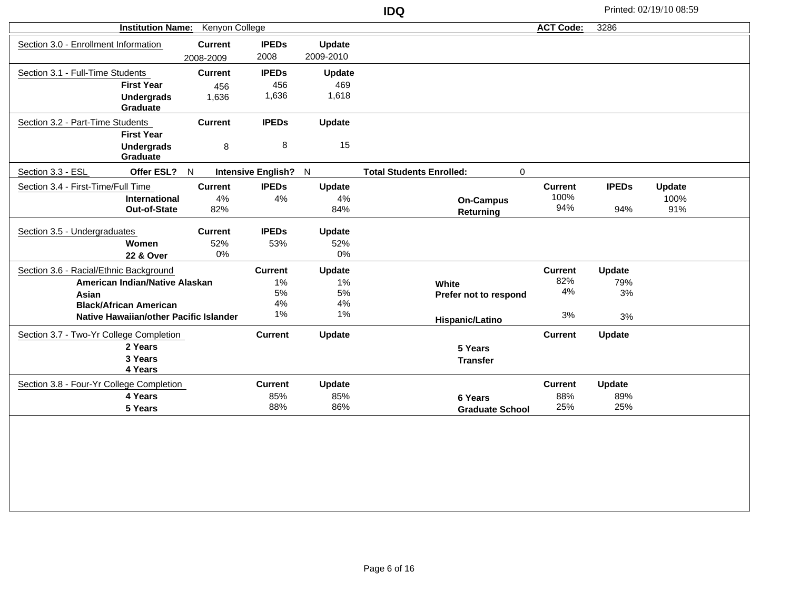| <b>Institution Name:</b><br>Kenyon College |                                        |                |                      |               | <b>ACT Code:</b>                     | 3286           |               |               |  |
|--------------------------------------------|----------------------------------------|----------------|----------------------|---------------|--------------------------------------|----------------|---------------|---------------|--|
| Section 3.0 - Enrollment Information       |                                        | <b>Current</b> | <b>IPEDs</b>         | Update        |                                      |                |               |               |  |
|                                            |                                        | 2008-2009      | 2008                 | 2009-2010     |                                      |                |               |               |  |
| Section 3.1 - Full-Time Students           |                                        | <b>Current</b> | <b>IPEDs</b>         | <b>Update</b> |                                      |                |               |               |  |
|                                            | <b>First Year</b>                      | 456            | 456                  | 469           |                                      |                |               |               |  |
|                                            | <b>Undergrads</b>                      | 1,636          | 1,636                | 1,618         |                                      |                |               |               |  |
|                                            | Graduate                               |                |                      |               |                                      |                |               |               |  |
| Section 3.2 - Part-Time Students           |                                        | <b>Current</b> | <b>IPEDs</b>         | Update        |                                      |                |               |               |  |
|                                            | <b>First Year</b>                      |                |                      |               |                                      |                |               |               |  |
|                                            | <b>Undergrads</b>                      | 8              | 8                    | 15            |                                      |                |               |               |  |
|                                            | <b>Graduate</b>                        |                |                      |               |                                      |                |               |               |  |
| Section 3.3 - ESL                          | Offer ESL? N                           |                | Intensive English? N |               | <b>Total Students Enrolled:</b><br>0 |                |               |               |  |
| Section 3.4 - First-Time/Full Time         |                                        | <b>Current</b> | <b>IPEDs</b>         | Update        |                                      | <b>Current</b> | <b>IPEDs</b>  | <b>Update</b> |  |
|                                            | International                          | 4%             | 4%                   | 4%            | <b>On-Campus</b>                     | 100%           |               | 100%          |  |
|                                            | Out-of-State                           | 82%            |                      | 84%           | Returning                            | 94%            | 94%           | 91%           |  |
| Section 3.5 - Undergraduates               |                                        | <b>Current</b> | <b>IPEDs</b>         | <b>Update</b> |                                      |                |               |               |  |
|                                            | Women                                  | 52%            | 53%                  | 52%           |                                      |                |               |               |  |
|                                            | 22 & Over                              | $0\%$          |                      | 0%            |                                      |                |               |               |  |
| Section 3.6 - Racial/Ethnic Background     |                                        |                | <b>Current</b>       | Update        |                                      | <b>Current</b> | Update        |               |  |
|                                            | American Indian/Native Alaskan         |                | 1%                   | 1%            | White                                | 82%            | 79%           |               |  |
| Asian                                      |                                        |                | 5%                   | 5%            | Prefer not to respond                | 4%             | 3%            |               |  |
|                                            | <b>Black/African American</b>          |                | 4%                   | 4%            |                                      |                |               |               |  |
|                                            | Native Hawaiian/other Pacific Islander |                | 1%                   | 1%            | Hispanic/Latino                      | 3%             | 3%            |               |  |
| Section 3.7 - Two-Yr College Completion    |                                        |                | <b>Current</b>       | Update        |                                      | <b>Current</b> | Update        |               |  |
|                                            | 2 Years                                |                |                      |               | 5 Years                              |                |               |               |  |
|                                            | 3 Years                                |                |                      |               | <b>Transfer</b>                      |                |               |               |  |
|                                            | 4 Years                                |                |                      |               |                                      |                |               |               |  |
| Section 3.8 - Four-Yr College Completion   |                                        |                | <b>Current</b>       | <b>Update</b> |                                      | <b>Current</b> | <b>Update</b> |               |  |
|                                            | 4 Years                                |                | 85%                  | 85%           | 6 Years                              | 88%            | 89%           |               |  |
|                                            | 5 Years                                |                | 88%                  | 86%           | <b>Graduate School</b>               | 25%            | 25%           |               |  |
|                                            |                                        |                |                      |               |                                      |                |               |               |  |
|                                            |                                        |                |                      |               |                                      |                |               |               |  |
|                                            |                                        |                |                      |               |                                      |                |               |               |  |
|                                            |                                        |                |                      |               |                                      |                |               |               |  |
|                                            |                                        |                |                      |               |                                      |                |               |               |  |
|                                            |                                        |                |                      |               |                                      |                |               |               |  |
|                                            |                                        |                |                      |               |                                      |                |               |               |  |

**IDQ** Printed: 02/19/10 08:59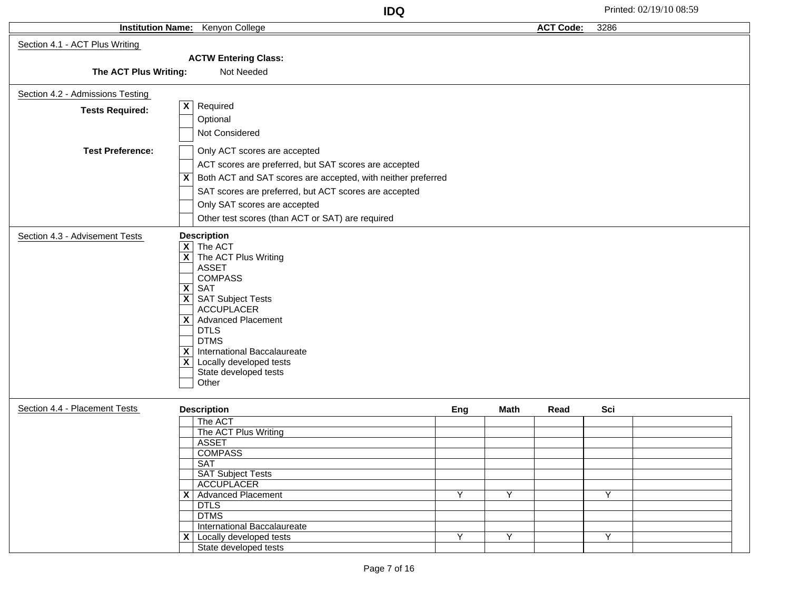|                                  |                                                                                                                                                                                                                                                                                                                                                                                                                                    | <b>IDQ</b> |                |                  |      | Printed: 02/19/10 08:59 |
|----------------------------------|------------------------------------------------------------------------------------------------------------------------------------------------------------------------------------------------------------------------------------------------------------------------------------------------------------------------------------------------------------------------------------------------------------------------------------|------------|----------------|------------------|------|-------------------------|
|                                  | Institution Name: Kenyon College                                                                                                                                                                                                                                                                                                                                                                                                   |            |                | <b>ACT Code:</b> | 3286 |                         |
| Section 4.1 - ACT Plus Writing   |                                                                                                                                                                                                                                                                                                                                                                                                                                    |            |                |                  |      |                         |
|                                  | <b>ACTW Entering Class:</b>                                                                                                                                                                                                                                                                                                                                                                                                        |            |                |                  |      |                         |
| The ACT Plus Writing:            | Not Needed                                                                                                                                                                                                                                                                                                                                                                                                                         |            |                |                  |      |                         |
| Section 4.2 - Admissions Testing |                                                                                                                                                                                                                                                                                                                                                                                                                                    |            |                |                  |      |                         |
| <b>Tests Required:</b>           | $\vert x \vert$<br>Required                                                                                                                                                                                                                                                                                                                                                                                                        |            |                |                  |      |                         |
|                                  | Optional                                                                                                                                                                                                                                                                                                                                                                                                                           |            |                |                  |      |                         |
|                                  | Not Considered                                                                                                                                                                                                                                                                                                                                                                                                                     |            |                |                  |      |                         |
| <b>Test Preference:</b>          | Only ACT scores are accepted                                                                                                                                                                                                                                                                                                                                                                                                       |            |                |                  |      |                         |
|                                  | ACT scores are preferred, but SAT scores are accepted                                                                                                                                                                                                                                                                                                                                                                              |            |                |                  |      |                         |
|                                  | $\overline{X}$ Both ACT and SAT scores are accepted, with neither preferred                                                                                                                                                                                                                                                                                                                                                        |            |                |                  |      |                         |
|                                  | SAT scores are preferred, but ACT scores are accepted                                                                                                                                                                                                                                                                                                                                                                              |            |                |                  |      |                         |
|                                  | Only SAT scores are accepted                                                                                                                                                                                                                                                                                                                                                                                                       |            |                |                  |      |                         |
|                                  | Other test scores (than ACT or SAT) are required                                                                                                                                                                                                                                                                                                                                                                                   |            |                |                  |      |                         |
|                                  |                                                                                                                                                                                                                                                                                                                                                                                                                                    |            |                |                  |      |                         |
| Section 4.3 - Advisement Tests   | <b>Description</b><br>$\boxed{\mathsf{X}}$ The ACT<br>$\overline{X}$ The ACT Plus Writing<br><b>ASSET</b><br><b>COMPASS</b><br>$\overline{X}$ SAT<br>$\boxed{\mathsf{X}}$ SAT Subject Tests<br><b>ACCUPLACER</b><br>$\overline{\mathsf{X}}$ Advanced Placement<br><b>DTLS</b><br><b>DTMS</b><br>International Baccalaureate<br>$\overline{\mathbf{x}}$<br>$\overline{X}$ Locally developed tests<br>State developed tests<br>Other |            |                |                  |      |                         |
| Section 4.4 - Placement Tests    | <b>Description</b>                                                                                                                                                                                                                                                                                                                                                                                                                 | Eng        | <b>Math</b>    | Read             | Sci  |                         |
|                                  | The ACT                                                                                                                                                                                                                                                                                                                                                                                                                            |            |                |                  |      |                         |
|                                  | The ACT Plus Writing                                                                                                                                                                                                                                                                                                                                                                                                               |            |                |                  |      |                         |
|                                  | <b>ASSET</b>                                                                                                                                                                                                                                                                                                                                                                                                                       |            |                |                  |      |                         |
|                                  | <b>COMPASS</b><br><b>SAT</b>                                                                                                                                                                                                                                                                                                                                                                                                       |            |                |                  |      |                         |
|                                  | <b>SAT Subject Tests</b>                                                                                                                                                                                                                                                                                                                                                                                                           |            |                |                  |      |                         |
|                                  | <b>ACCUPLACER</b>                                                                                                                                                                                                                                                                                                                                                                                                                  |            |                |                  |      |                         |
|                                  | X   Advanced Placement                                                                                                                                                                                                                                                                                                                                                                                                             | Y          | Y              |                  | Y    |                         |
|                                  | <b>DTLS</b>                                                                                                                                                                                                                                                                                                                                                                                                                        |            |                |                  |      |                         |
|                                  | <b>DTMS</b><br>International Baccalaureate                                                                                                                                                                                                                                                                                                                                                                                         |            |                |                  |      |                         |
|                                  | $\mathsf{X}$ Locally developed tests                                                                                                                                                                                                                                                                                                                                                                                               | Y          | $\overline{Y}$ |                  | Y    |                         |
|                                  | State developed tests                                                                                                                                                                                                                                                                                                                                                                                                              |            |                |                  |      |                         |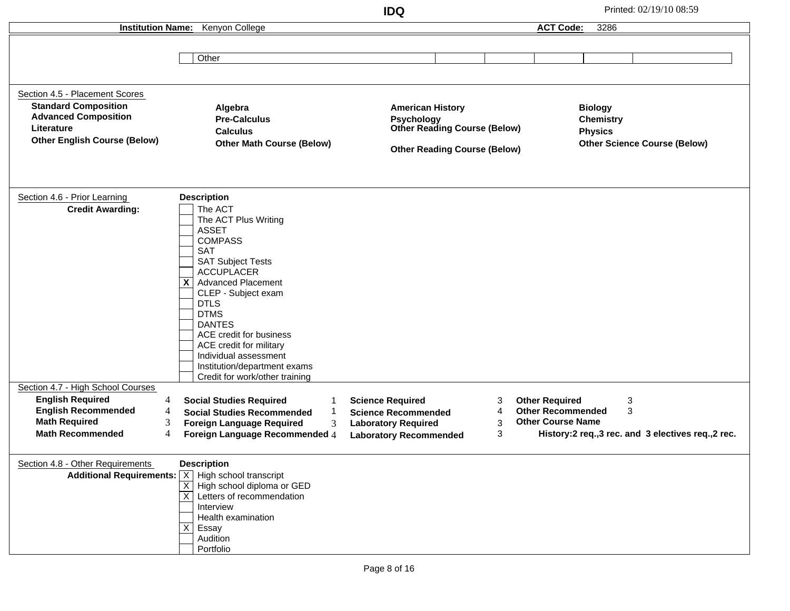**IDQ** Printed: 02/19/10 08:59 **Institution Name:** Kenyon College **Other** Section 4.5 - Placement Scores **Standard Composition Advanced Composition Literature Other English Course (Below) Algebra Pre-Calculus Calculus Other Math Course (Below) American History Psychology Other Reading Course (Below) Other Reading Course (Below) Biology Chemistry Physics Other Science Course (Below)** Section 4.6 - Prior Learning The ACT The ACT Plus Writing ASSET **COMPASS** SAT SAT Subject Tests ACCUPLACER **X** | Advanced Placement CLEP - Subject exam DTLS DTMS DANTES ACE credit for business ACE credit for military Individual assessment Institution/department exams Credit for work/other training **Credit Awarding: Description** Section 4.7 - High School Courses 4 4 **English Required English Recommended** 3 4 **Foreign Language Recommended** 4 **Laboratory Recommended Foreign Language Required** 3 4 **Science Required** 1 **Science Recommended Social Studies Required** 1 **Social Studies Recommended** 3 3 **Laboratory Required Math Required** 3 **Math Recommended** 3 3 **History:2 req.,3 rec. and 3 electives req.,2 rec. Other Required Other Recommended Other Course Name** Section 4.8 - Other Requirements **Additional Requirements:** | X | High school transcript X | High school diploma or GED X | Letters of recommendation Interview Health examination Essay Audition Portfolio **Description ACT Code:** 3286 X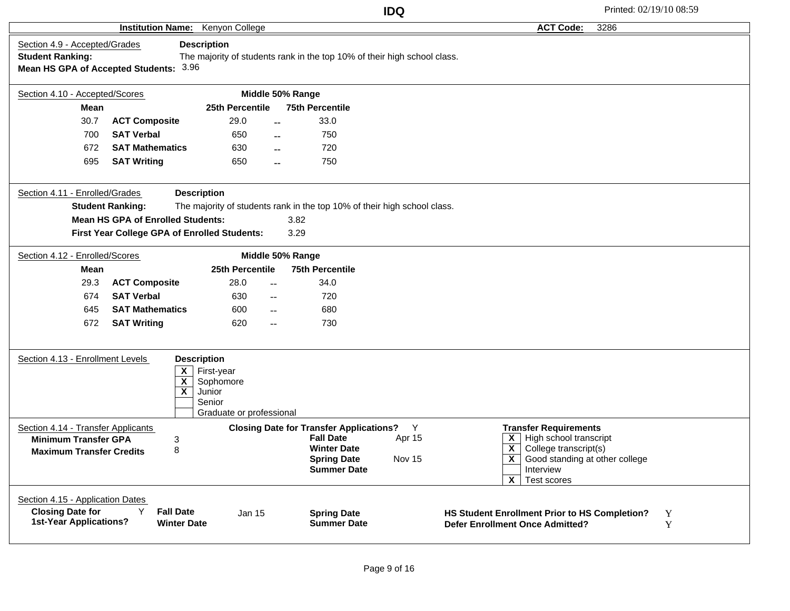|                                                                                                      |                                                         |                                                                                               |                                                                                                                                      | <b>IDQ</b>            |                                                                                                                                                                                                                                                        | Printed: 02/19/10 08:59 |
|------------------------------------------------------------------------------------------------------|---------------------------------------------------------|-----------------------------------------------------------------------------------------------|--------------------------------------------------------------------------------------------------------------------------------------|-----------------------|--------------------------------------------------------------------------------------------------------------------------------------------------------------------------------------------------------------------------------------------------------|-------------------------|
|                                                                                                      | <b>Institution Name:</b>                                | Kenyon College                                                                                |                                                                                                                                      |                       | <b>ACT Code:</b>                                                                                                                                                                                                                                       | 3286                    |
| Section 4.9 - Accepted/Grades<br><b>Student Ranking:</b>                                             | Mean HS GPA of Accepted Students: 3.96                  | <b>Description</b>                                                                            | The majority of students rank in the top 10% of their high school class.                                                             |                       |                                                                                                                                                                                                                                                        |                         |
| Section 4.10 - Accepted/Scores                                                                       |                                                         |                                                                                               | Middle 50% Range                                                                                                                     |                       |                                                                                                                                                                                                                                                        |                         |
| <b>Mean</b>                                                                                          |                                                         | 25th Percentile                                                                               | <b>75th Percentile</b>                                                                                                               |                       |                                                                                                                                                                                                                                                        |                         |
| 30.7                                                                                                 | <b>ACT Composite</b>                                    | 29.0                                                                                          | 33.0<br>$-$                                                                                                                          |                       |                                                                                                                                                                                                                                                        |                         |
| 700                                                                                                  | <b>SAT Verbal</b>                                       | 650                                                                                           | 750<br>$\sim$                                                                                                                        |                       |                                                                                                                                                                                                                                                        |                         |
| 672                                                                                                  | <b>SAT Mathematics</b>                                  | 630                                                                                           | 720<br>$\sim$                                                                                                                        |                       |                                                                                                                                                                                                                                                        |                         |
| 695                                                                                                  | <b>SAT Writing</b>                                      | 650                                                                                           | 750                                                                                                                                  |                       |                                                                                                                                                                                                                                                        |                         |
| Section 4.11 - Enrolled/Grades                                                                       | <b>Student Ranking:</b>                                 | <b>Description</b>                                                                            | The majority of students rank in the top 10% of their high school class.                                                             |                       |                                                                                                                                                                                                                                                        |                         |
|                                                                                                      | <b>Mean HS GPA of Enrolled Students:</b>                |                                                                                               | 3.82                                                                                                                                 |                       |                                                                                                                                                                                                                                                        |                         |
|                                                                                                      | First Year College GPA of Enrolled Students:            |                                                                                               | 3.29                                                                                                                                 |                       |                                                                                                                                                                                                                                                        |                         |
| Section 4.12 - Enrolled/Scores                                                                       |                                                         |                                                                                               | Middle 50% Range                                                                                                                     |                       |                                                                                                                                                                                                                                                        |                         |
| Mean                                                                                                 |                                                         | 25th Percentile                                                                               | <b>75th Percentile</b>                                                                                                               |                       |                                                                                                                                                                                                                                                        |                         |
| 29.3                                                                                                 | <b>ACT Composite</b>                                    | 28.0                                                                                          | 34.0<br>$-$                                                                                                                          |                       |                                                                                                                                                                                                                                                        |                         |
| 674                                                                                                  | <b>SAT Verbal</b>                                       | 630                                                                                           | 720<br>$- -$                                                                                                                         |                       |                                                                                                                                                                                                                                                        |                         |
| 645                                                                                                  | <b>SAT Mathematics</b>                                  | 600                                                                                           | 680<br>$- -$                                                                                                                         |                       |                                                                                                                                                                                                                                                        |                         |
| 672                                                                                                  | <b>SAT Writing</b>                                      | 620                                                                                           | 730<br>$- -$                                                                                                                         |                       |                                                                                                                                                                                                                                                        |                         |
| Section 4.13 - Enrollment Levels                                                                     | X<br>$\overline{\mathbf{X}}$<br>$\overline{\mathbf{x}}$ | <b>Description</b><br>First-year<br>Sophomore<br>Junior<br>Senior<br>Graduate or professional |                                                                                                                                      |                       |                                                                                                                                                                                                                                                        |                         |
| Section 4.14 - Transfer Applicants<br><b>Minimum Transfer GPA</b><br><b>Maximum Transfer Credits</b> | 3<br>8                                                  |                                                                                               | <b>Closing Date for Transfer Applications?</b><br><b>Fall Date</b><br><b>Winter Date</b><br><b>Spring Date</b><br><b>Summer Date</b> | Y<br>Apr 15<br>Nov 15 | <b>Transfer Requirements</b><br>$\overline{\mathsf{X}}$ High school transcript<br>$\overline{\mathsf{x}}$<br>College transcript(s)<br>$\overline{\mathsf{x}}$<br>Good standing at other college<br>Interview<br>$\overline{\mathbf{x}}$<br>Test scores |                         |
| Section 4.15 - Application Dates<br><b>Closing Date for</b><br><b>1st-Year Applications?</b>         | Y<br><b>Fall Date</b><br><b>Winter Date</b>             | Jan 15                                                                                        | <b>Spring Date</b><br><b>Summer Date</b>                                                                                             |                       | HS Student Enrollment Prior to HS Completion?<br><b>Defer Enrollment Once Admitted?</b>                                                                                                                                                                | Y<br>Y                  |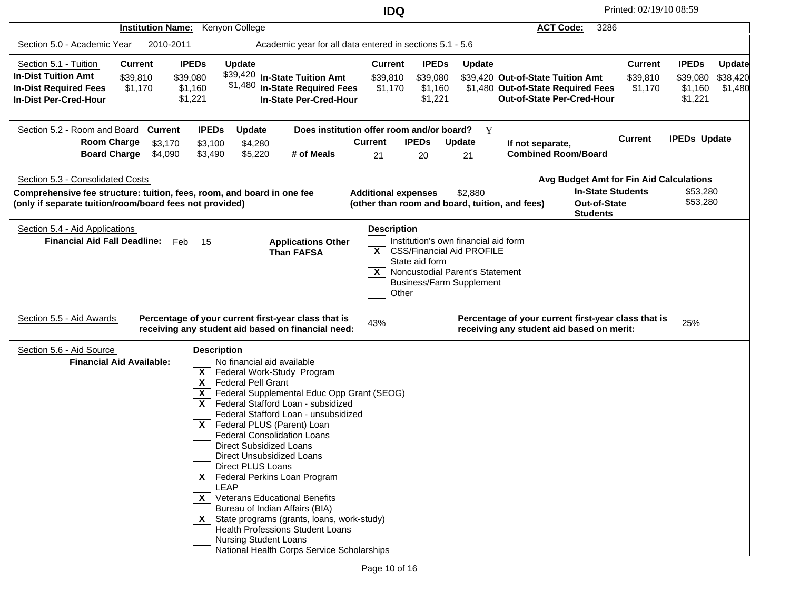**IDQ** Printed: 02/19/10 08:59

| Institution Name: Kenyon College                                                                                                                             |                                                                                                                                                                                                                                                                                                                                                                                                                                                                                                                                                                                                                                                                                                                                                                                   |                                                                                         |                                                                                                                                                | <b>ACT Code:</b><br>3286                                                                                     |                                       |                                                                                        |
|--------------------------------------------------------------------------------------------------------------------------------------------------------------|-----------------------------------------------------------------------------------------------------------------------------------------------------------------------------------------------------------------------------------------------------------------------------------------------------------------------------------------------------------------------------------------------------------------------------------------------------------------------------------------------------------------------------------------------------------------------------------------------------------------------------------------------------------------------------------------------------------------------------------------------------------------------------------|-----------------------------------------------------------------------------------------|------------------------------------------------------------------------------------------------------------------------------------------------|--------------------------------------------------------------------------------------------------------------|---------------------------------------|----------------------------------------------------------------------------------------|
| Section 5.0 - Academic Year<br>2010-2011                                                                                                                     | Academic year for all data entered in sections 5.1 - 5.6                                                                                                                                                                                                                                                                                                                                                                                                                                                                                                                                                                                                                                                                                                                          |                                                                                         |                                                                                                                                                |                                                                                                              |                                       |                                                                                        |
| Section 5.1 - Tuition<br><b>Current</b><br><b>In-Dist Tuition Amt</b><br>\$39,810<br><b>In-Dist Required Fees</b><br>\$1,170<br><b>In-Dist Per-Cred-Hour</b> | <b>IPEDs</b><br><b>Update</b><br>\$39,420 In-State Tuition Amt<br>\$39,080<br>\$1,480 In-State Required Fees<br>\$1,160<br>\$1,221<br><b>In-State Per-Cred-Hour</b>                                                                                                                                                                                                                                                                                                                                                                                                                                                                                                                                                                                                               | <b>Current</b><br>\$39,810<br>\$1,170                                                   | <b>IPEDs</b><br><b>Update</b><br>\$39,080<br>\$1,160<br>\$1,221                                                                                | \$39,420 Out-of-State Tuition Amt<br>\$1,480 Out-of-State Required Fees<br><b>Out-of-State Per-Cred-Hour</b> | <b>Current</b><br>\$39,810<br>\$1,170 | <b>IPEDs</b><br><b>Update</b><br>\$39,080<br>\$38,420<br>\$1,160<br>\$1,480<br>\$1,221 |
| Section 5.2 - Room and Board<br><b>Current</b><br><b>Room Charge</b><br>\$3,170<br>Board Charge \$4,090                                                      | <b>IPEDs</b><br><b>Update</b><br>\$3,100<br>\$4,280<br># of Meals<br>\$3,490<br>\$5,220                                                                                                                                                                                                                                                                                                                                                                                                                                                                                                                                                                                                                                                                                           | Does institution offer room and/or board?<br><b>Current</b><br><b>IPEDs</b><br>21<br>20 | Y<br>Update<br>21                                                                                                                              | If not separate,<br><b>Combined Room/Board</b>                                                               | <b>Current</b>                        | <b>IPEDs Update</b>                                                                    |
| Section 5.3 - Consolidated Costs                                                                                                                             |                                                                                                                                                                                                                                                                                                                                                                                                                                                                                                                                                                                                                                                                                                                                                                                   |                                                                                         |                                                                                                                                                | Avg Budget Amt for Fin Aid Calculations                                                                      |                                       |                                                                                        |
| Comprehensive fee structure: tuition, fees, room, and board in one fee<br>(only if separate tuition/room/board fees not provided)                            |                                                                                                                                                                                                                                                                                                                                                                                                                                                                                                                                                                                                                                                                                                                                                                                   | <b>Additional expenses</b><br>(other than room and board, tuition, and fees)            | \$2,880                                                                                                                                        | <b>In-State Students</b><br><b>Out-of-State</b><br><b>Students</b>                                           |                                       | \$53,280<br>\$53,280                                                                   |
| <b>Financial Aid Fall Deadline:</b><br>Section 5.5 - Aid Awards                                                                                              | Feb<br>- 15<br><b>Applications Other</b><br><b>Than FAFSA</b><br>Percentage of your current first-year class that is<br>receiving any student aid based on financial need:                                                                                                                                                                                                                                                                                                                                                                                                                                                                                                                                                                                                        | X<br>State aid form<br>X<br>Other<br>43%                                                | Institution's own financial aid form<br><b>CSS/Financial Aid PROFILE</b><br>Noncustodial Parent's Statement<br><b>Business/Farm Supplement</b> | Percentage of your current first-year class that is<br>receiving any student aid based on merit:             |                                       | 25%                                                                                    |
| Section 5.6 - Aid Source<br><b>Financial Aid Available:</b>                                                                                                  | <b>Description</b><br>No financial aid available<br>X<br>Federal Work-Study Program<br>$\boldsymbol{\mathsf{x}}$<br><b>Federal Pell Grant</b><br>Federal Supplemental Educ Opp Grant (SEOG)<br>X<br>Federal Stafford Loan - subsidized<br>$\mathsf{x}$<br>Federal Stafford Loan - unsubsidized<br>Federal PLUS (Parent) Loan<br>X.<br><b>Federal Consolidation Loans</b><br>Direct Subsidized Loans<br>Direct Unsubsidized Loans<br>Direct PLUS Loans<br>$\mathsf{x}$<br>Federal Perkins Loan Program<br><b>LEAP</b><br>$X$   Veterans Educational Benefits<br>Bureau of Indian Affairs (BIA)<br>$\mathsf{X}$ State programs (grants, loans, work-study)<br><b>Health Professions Student Loans</b><br><b>Nursing Student Loans</b><br>National Health Corps Service Scholarships |                                                                                         |                                                                                                                                                |                                                                                                              |                                       |                                                                                        |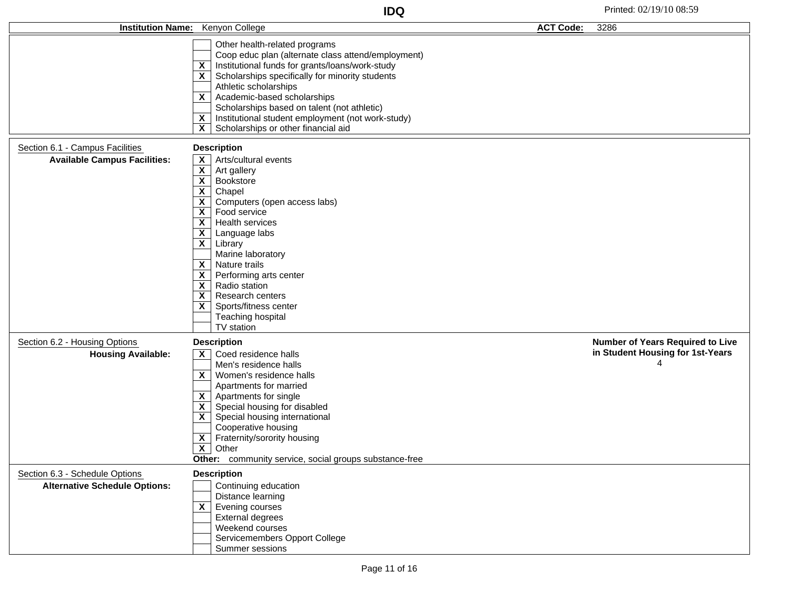|                                      | Institution Name: Kenyon College                                                                                                                                                                                                                                                                                                                                                                                                                                                                                                                                                                                    | <b>ACT Code:</b> | 3286                                    |
|--------------------------------------|---------------------------------------------------------------------------------------------------------------------------------------------------------------------------------------------------------------------------------------------------------------------------------------------------------------------------------------------------------------------------------------------------------------------------------------------------------------------------------------------------------------------------------------------------------------------------------------------------------------------|------------------|-----------------------------------------|
|                                      | Other health-related programs<br>Coop educ plan (alternate class attend/employment)<br>$\overline{X}$ Institutional funds for grants/loans/work-study<br>$\mathsf{X}$ Scholarships specifically for minority students<br>Athletic scholarships<br>X Academic-based scholarships<br>Scholarships based on talent (not athletic)<br>$X$   Institutional student employment (not work-study)<br>$\overline{\mathsf{x}}$ Scholarships or other financial aid                                                                                                                                                            |                  |                                         |
| Section 6.1 - Campus Facilities      | <b>Description</b>                                                                                                                                                                                                                                                                                                                                                                                                                                                                                                                                                                                                  |                  |                                         |
| <b>Available Campus Facilities:</b>  | $\overline{\mathsf{X}}$ Arts/cultural events<br>$\overline{\mathsf{x}}$ Art gallery<br>$X$ Bookstore<br>$\overline{x}$<br>Chapel<br>$\overline{\mathsf{x}}$ Computers (open access labs)<br>$\overline{\mathsf{x}}$ Food service<br>$\overline{\mathsf{x}}$ Health services<br>$\overline{\mathsf{x}}$ Language labs<br>$\overline{\mathbf{X}}$ Library<br>Marine laboratory<br>$\overline{\mathsf{x}}$ Nature trails<br>$\overline{\mathbf{X}}$ Performing arts center<br>$\overline{\mathsf{X}}$ Radio station<br>$\mathsf{X}$ Research centers<br>$X$   Sports/fitness center<br>Teaching hospital<br>TV station |                  |                                         |
| Section 6.2 - Housing Options        | <b>Description</b>                                                                                                                                                                                                                                                                                                                                                                                                                                                                                                                                                                                                  |                  | <b>Number of Years Required to Live</b> |
| <b>Housing Available:</b>            | $\mathsf{X}$ Coed residence halls<br>Men's residence halls<br>$X$   Women's residence halls<br>Apartments for married<br>$\mathsf{X}$   Apartments for single<br>$\overline{\mathbf{X}}$ Special housing for disabled<br>X Special housing international<br>Cooperative housing<br>$\overline{\mathbf{X}}$ Fraternity/sorority housing<br>$\overline{\mathbf{X}}$ Other<br>Other: community service, social groups substance-free                                                                                                                                                                                   |                  | in Student Housing for 1st-Years<br>4   |
| Section 6.3 - Schedule Options       | <b>Description</b>                                                                                                                                                                                                                                                                                                                                                                                                                                                                                                                                                                                                  |                  |                                         |
| <b>Alternative Schedule Options:</b> | Continuing education<br>Distance learning<br>$\overline{\mathsf{x}}$ Evening courses<br>External degrees<br>Weekend courses<br>Servicemembers Opport College<br>Summer sessions                                                                                                                                                                                                                                                                                                                                                                                                                                     |                  |                                         |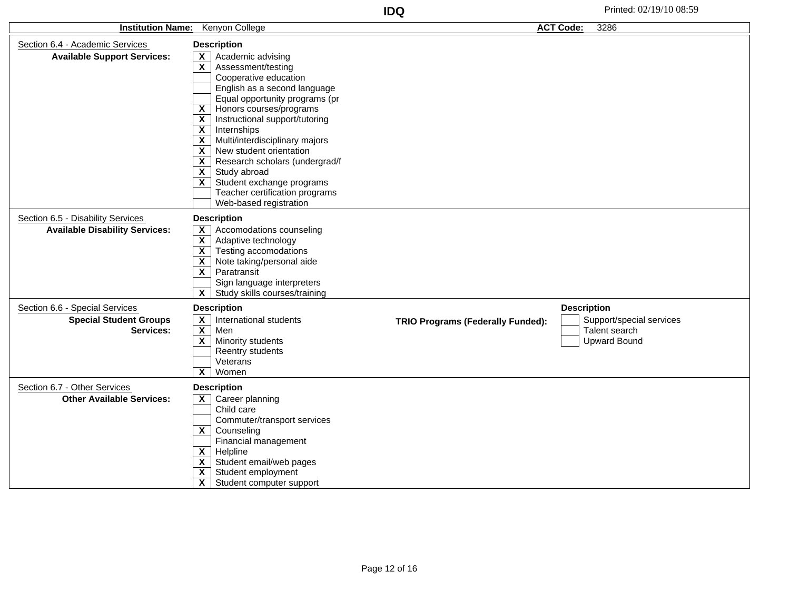| Institution Name: Kenyon College                                           |                                                                                                                                                                                                                                                                                                                                                                                                                                                                                                                                                                                                     |                                          | <b>ACT Code:</b><br>3286                                         |
|----------------------------------------------------------------------------|-----------------------------------------------------------------------------------------------------------------------------------------------------------------------------------------------------------------------------------------------------------------------------------------------------------------------------------------------------------------------------------------------------------------------------------------------------------------------------------------------------------------------------------------------------------------------------------------------------|------------------------------------------|------------------------------------------------------------------|
| Section 6.4 - Academic Services<br><b>Available Support Services:</b>      | <b>Description</b><br>Academic advising<br>X.<br>$\mathbf{x}$<br>Assessment/testing<br>Cooperative education<br>English as a second language<br>Equal opportunity programs (pr<br>Honors courses/programs<br>X<br>Instructional support/tutoring<br>X<br>$\overline{\mathbf{X}}$<br>Internships<br>$\overline{\mathbf{X}}$<br>Multi/interdisciplinary majors<br>$\overline{\mathbf{x}}$<br>New student orientation<br>X<br>Research scholars (undergrad/f<br>$\overline{\mathbf{X}}$<br>Study abroad<br>X.<br>Student exchange programs<br>Teacher certification programs<br>Web-based registration |                                          |                                                                  |
| Section 6.5 - Disability Services<br><b>Available Disability Services:</b> | <b>Description</b><br>$\mathsf{x}$<br>Accomodations counseling                                                                                                                                                                                                                                                                                                                                                                                                                                                                                                                                      |                                          |                                                                  |
|                                                                            | $\overline{\mathbf{X}}$<br>Adaptive technology<br>$\overline{\mathbf{X}}$<br>Testing accomodations<br>Note taking/personal aide<br>X<br>$\overline{\mathbf{X}}$<br>Paratransit<br>Sign language interpreters<br>$\mathbf{x}$<br>Study skills courses/training                                                                                                                                                                                                                                                                                                                                       |                                          |                                                                  |
| Section 6.6 - Special Services                                             | <b>Description</b>                                                                                                                                                                                                                                                                                                                                                                                                                                                                                                                                                                                  |                                          | <b>Description</b>                                               |
| <b>Special Student Groups</b><br>Services:                                 | $\mathsf{x}$<br>International students<br>$\overline{\mathbf{X}}$<br>Men<br>$\mathbf{x}$<br>Minority students<br>Reentry students<br>Veterans<br>$\mathbf{x}$<br>Women                                                                                                                                                                                                                                                                                                                                                                                                                              | <b>TRIO Programs (Federally Funded):</b> | Support/special services<br>Talent search<br><b>Upward Bound</b> |
| Section 6.7 - Other Services                                               | <b>Description</b>                                                                                                                                                                                                                                                                                                                                                                                                                                                                                                                                                                                  |                                          |                                                                  |
| <b>Other Available Services:</b>                                           | Career planning<br>X<br>Child care<br>Commuter/transport services<br>$\overline{\mathbf{x}}$<br>Counseling<br>Financial management<br>Helpline<br>X<br>Student email/web pages<br>$\mathsf{x}$<br>X.<br>Student employment<br>$\overline{\mathbf{X}}$<br>Student computer support                                                                                                                                                                                                                                                                                                                   |                                          |                                                                  |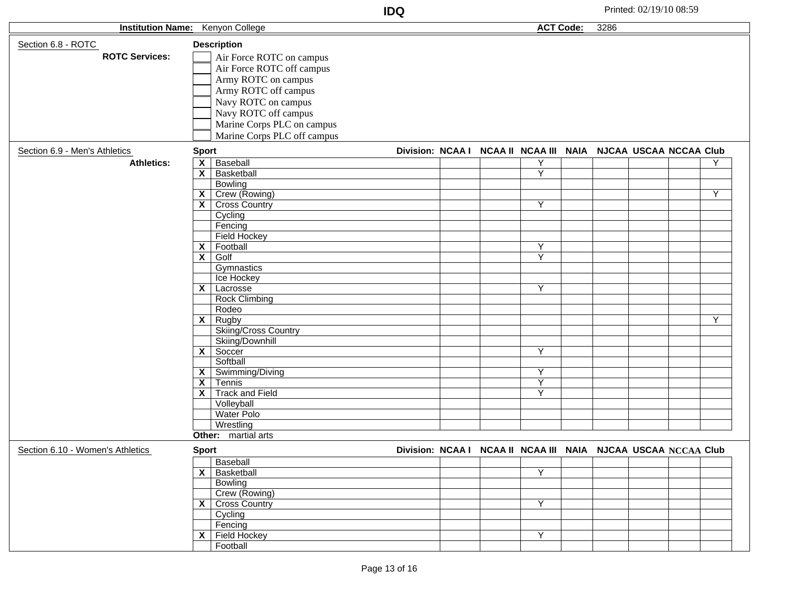|                          |                     | IDQ                 | Printed: 02/19/10 08:59 |
|--------------------------|---------------------|---------------------|-------------------------|
| <b>Institution Name:</b> | າ Colleae<br>Kenvon | <b>ACT</b><br>Code: | 3286                    |
|                          |                     |                     |                         |

|                                  | <b>INSULUMON NAME.</b> NETIVOIT COMEGE |                                                               | AUT COUP. | ວ∠໐ບ |  |   |
|----------------------------------|----------------------------------------|---------------------------------------------------------------|-----------|------|--|---|
| Section 6.8 - ROTC               | <b>Description</b>                     |                                                               |           |      |  |   |
| <b>ROTC Services:</b>            | Air Force ROTC on campus               |                                                               |           |      |  |   |
|                                  | Air Force ROTC off campus              |                                                               |           |      |  |   |
|                                  |                                        |                                                               |           |      |  |   |
|                                  | Army ROTC on campus                    |                                                               |           |      |  |   |
|                                  | Army ROTC off campus                   |                                                               |           |      |  |   |
|                                  | Navy ROTC on campus                    |                                                               |           |      |  |   |
|                                  | Navy ROTC off campus                   |                                                               |           |      |  |   |
|                                  | Marine Corps PLC on campus             |                                                               |           |      |  |   |
|                                  | Marine Corps PLC off campus            |                                                               |           |      |  |   |
| Section 6.9 - Men's Athletics    | <b>Sport</b>                           | Division: NCAA I NCAA II NCAA III NAIA NJCAA USCAA NCCAA Club |           |      |  |   |
|                                  |                                        |                                                               |           |      |  |   |
| <b>Athletics:</b>                | $\overline{\mathsf{x}}$<br>Baseball    | Y                                                             |           |      |  | Υ |
|                                  | $\mathsf{x}$<br>Basketball             | Ÿ                                                             |           |      |  |   |
|                                  | <b>Bowling</b>                         |                                                               |           |      |  |   |
|                                  | $X$ Crew (Rowing)                      |                                                               |           |      |  | Y |
|                                  | $X$ Cross Country                      | Y                                                             |           |      |  |   |
|                                  | Cycling                                |                                                               |           |      |  |   |
|                                  | Fencing                                |                                                               |           |      |  |   |
|                                  | <b>Field Hockey</b>                    |                                                               |           |      |  |   |
|                                  | $X$ Football                           | Y                                                             |           |      |  |   |
|                                  | $X \mid$ Golf                          | $\overline{Y}$                                                |           |      |  |   |
|                                  | Gymnastics                             |                                                               |           |      |  |   |
|                                  | Ice Hockey                             |                                                               |           |      |  |   |
|                                  | $X \mid$ Lacrosse                      | Y                                                             |           |      |  |   |
|                                  | <b>Rock Climbing</b>                   |                                                               |           |      |  |   |
|                                  | Rodeo                                  |                                                               |           |      |  |   |
|                                  | $X$ Rugby                              |                                                               |           |      |  | Y |
|                                  | Skiing/Cross Country                   |                                                               |           |      |  |   |
|                                  | Skiing/Downhill                        |                                                               |           |      |  |   |
|                                  | $X$ Soccer                             | Y                                                             |           |      |  |   |
|                                  | Softball                               |                                                               |           |      |  |   |
|                                  | X Swimming/Diving                      | Y                                                             |           |      |  |   |
|                                  | $\overline{\mathsf{x}}$ Tennis         | $\overline{Y}$                                                |           |      |  |   |
|                                  | X Track and Field                      | Y                                                             |           |      |  |   |
|                                  | Volleyball                             |                                                               |           |      |  |   |
|                                  | <b>Water Polo</b>                      |                                                               |           |      |  |   |
|                                  | Wrestling                              |                                                               |           |      |  |   |
|                                  | Other: martial arts                    |                                                               |           |      |  |   |
|                                  |                                        |                                                               |           |      |  |   |
| Section 6.10 - Women's Athletics | <b>Sport</b><br><b>Baseball</b>        | Division: NCAA I NCAA II NCAA III NAIA NJCAA USCAA NCCAA Club |           |      |  |   |
|                                  |                                        |                                                               |           |      |  |   |
|                                  | X Basketball                           | Y                                                             |           |      |  |   |
|                                  | Bowling                                |                                                               |           |      |  |   |
|                                  | Crew (Rowing)                          |                                                               |           |      |  |   |
|                                  | <b>X</b> Cross Country                 | Y                                                             |           |      |  |   |
|                                  | Cycling                                |                                                               |           |      |  |   |
|                                  | Fencing                                |                                                               |           |      |  |   |
|                                  | $X$ Field Hockey                       | Y                                                             |           |      |  |   |
|                                  | Football                               |                                                               |           |      |  |   |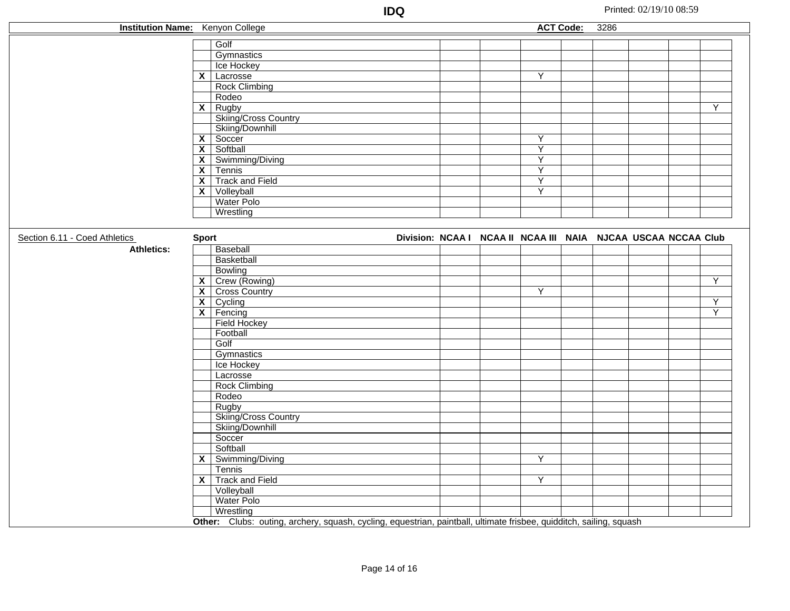| <b>Institution Name:</b> Kenyon College |              |                                                                                                                     |                                                               |                         | <b>ACT Code:</b> | 3286 |  |                |
|-----------------------------------------|--------------|---------------------------------------------------------------------------------------------------------------------|---------------------------------------------------------------|-------------------------|------------------|------|--|----------------|
|                                         |              | Golf                                                                                                                |                                                               |                         |                  |      |  |                |
|                                         |              | Gymnastics                                                                                                          |                                                               |                         |                  |      |  |                |
|                                         |              | Ice Hockey                                                                                                          |                                                               |                         |                  |      |  |                |
|                                         |              | $X$ Lacrosse                                                                                                        |                                                               | $\overline{Y}$          |                  |      |  |                |
|                                         |              | <b>Rock Climbing</b>                                                                                                |                                                               |                         |                  |      |  |                |
|                                         |              | Rodeo                                                                                                               |                                                               |                         |                  |      |  |                |
|                                         |              | $X$ Rugby                                                                                                           |                                                               |                         |                  |      |  | Y              |
|                                         |              | Skiing/Cross Country                                                                                                |                                                               |                         |                  |      |  |                |
|                                         |              | Skiing/Downhill                                                                                                     |                                                               |                         |                  |      |  |                |
|                                         |              | $X$ Soccer                                                                                                          |                                                               | Y                       |                  |      |  |                |
|                                         |              | $X$ Softball                                                                                                        |                                                               | $\overline{Y}$          |                  |      |  |                |
|                                         |              | $X$ Swimming/Diving                                                                                                 |                                                               | $\overline{Y}$          |                  |      |  |                |
|                                         |              | $\overline{\mathsf{x}}$ Tennis                                                                                      |                                                               | Υ                       |                  |      |  |                |
|                                         |              | X Track and Field                                                                                                   |                                                               | $\overline{\mathsf{Y}}$ |                  |      |  |                |
|                                         |              | $X$ Volleyball                                                                                                      |                                                               | $\overline{\mathsf{Y}}$ |                  |      |  |                |
|                                         |              | Water Polo                                                                                                          |                                                               |                         |                  |      |  |                |
|                                         |              | Wrestling                                                                                                           |                                                               |                         |                  |      |  |                |
|                                         |              |                                                                                                                     |                                                               |                         |                  |      |  |                |
| Section 6.11 - Coed Athletics           | <b>Sport</b> |                                                                                                                     | Division: NCAA I NCAA II NCAA III NAIA NJCAA USCAA NCCAA Club |                         |                  |      |  |                |
| <b>Athletics:</b>                       |              | Baseball                                                                                                            |                                                               |                         |                  |      |  |                |
|                                         |              | Basketball                                                                                                          |                                                               |                         |                  |      |  |                |
|                                         |              | <b>Bowling</b>                                                                                                      |                                                               |                         |                  |      |  |                |
|                                         |              | X Crew (Rowing)                                                                                                     |                                                               |                         |                  |      |  | $\overline{Y}$ |
|                                         |              | <b>X</b> Cross Country                                                                                              |                                                               | $\overline{Y}$          |                  |      |  |                |
|                                         |              | $\overline{\mathsf{x}}$ Cycling                                                                                     |                                                               |                         |                  |      |  | $\overline{Y}$ |
|                                         |              | $X$ Fencing                                                                                                         |                                                               |                         |                  |      |  | $\overline{Y}$ |
|                                         |              | <b>Field Hockey</b>                                                                                                 |                                                               |                         |                  |      |  |                |
|                                         |              | Football                                                                                                            |                                                               |                         |                  |      |  |                |
|                                         |              | Golf                                                                                                                |                                                               |                         |                  |      |  |                |
|                                         |              | Gymnastics                                                                                                          |                                                               |                         |                  |      |  |                |
|                                         |              | Ice Hockey                                                                                                          |                                                               |                         |                  |      |  |                |
|                                         |              | Lacrosse                                                                                                            |                                                               |                         |                  |      |  |                |
|                                         |              | Rock Climbing                                                                                                       |                                                               |                         |                  |      |  |                |
|                                         |              | Rodeo                                                                                                               |                                                               |                         |                  |      |  |                |
|                                         |              | Rugby                                                                                                               |                                                               |                         |                  |      |  |                |
|                                         |              | Skiing/Cross Country                                                                                                |                                                               |                         |                  |      |  |                |
|                                         |              | Skiing/Downhill                                                                                                     |                                                               |                         |                  |      |  |                |
|                                         |              | Soccer                                                                                                              |                                                               |                         |                  |      |  |                |
|                                         |              | Softball                                                                                                            |                                                               |                         |                  |      |  |                |
|                                         |              | $X$ Swimming/Diving                                                                                                 |                                                               | $\overline{\mathsf{Y}}$ |                  |      |  |                |
|                                         |              | Tennis                                                                                                              |                                                               |                         |                  |      |  |                |
|                                         |              | X Track and Field                                                                                                   |                                                               | Y                       |                  |      |  |                |
|                                         |              | Volleyball                                                                                                          |                                                               |                         |                  |      |  |                |
|                                         |              | Water Polo                                                                                                          |                                                               |                         |                  |      |  |                |
|                                         |              | Wrestling                                                                                                           |                                                               |                         |                  |      |  |                |
|                                         |              | Other: Clubs: outing, archery, squash, cycling, equestrian, paintball, ultimate frisbee, quidditch, sailing, squash |                                                               |                         |                  |      |  |                |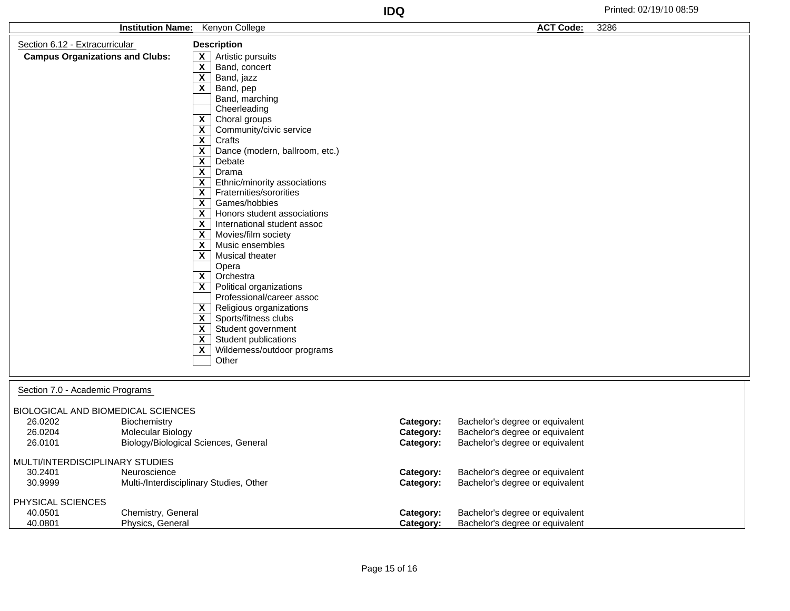| <b>Kenyon College</b><br><b>Institution Name:</b>                                                      |                                                                                  |                                                                                                                                                                                                                                                                                                                                                                                                                                                                                                                                                                                                                                                                                                                                                                                                                                                                                                                                                                                                                                                                                                                                                                                                                                                                    | <b>ACT Code:</b>                    | 3286                                                                                                  |  |
|--------------------------------------------------------------------------------------------------------|----------------------------------------------------------------------------------|--------------------------------------------------------------------------------------------------------------------------------------------------------------------------------------------------------------------------------------------------------------------------------------------------------------------------------------------------------------------------------------------------------------------------------------------------------------------------------------------------------------------------------------------------------------------------------------------------------------------------------------------------------------------------------------------------------------------------------------------------------------------------------------------------------------------------------------------------------------------------------------------------------------------------------------------------------------------------------------------------------------------------------------------------------------------------------------------------------------------------------------------------------------------------------------------------------------------------------------------------------------------|-------------------------------------|-------------------------------------------------------------------------------------------------------|--|
| Section 6.12 - Extracurricular                                                                         |                                                                                  | <b>Description</b>                                                                                                                                                                                                                                                                                                                                                                                                                                                                                                                                                                                                                                                                                                                                                                                                                                                                                                                                                                                                                                                                                                                                                                                                                                                 |                                     |                                                                                                       |  |
| <b>Campus Organizations and Clubs:</b>                                                                 |                                                                                  | Artistic pursuits<br>$\mathsf{x}$<br>$\overline{\mathbf{x}}$<br>Band, concert<br>$\overline{\mathbf{x}}$<br>Band, jazz<br>$\overline{\mathbf{x}}$<br>Band, pep<br>Band, marching<br>Cheerleading<br>$\overline{\mathbf{x}}$<br>Choral groups<br>$\mathsf{x}$<br>Community/civic service<br>$\overline{\mathbf{x}}$<br>Crafts<br>$\overline{\mathbf{x}}$<br>Dance (modern, ballroom, etc.)<br>$\overline{\mathbf{x}}$<br>Debate<br>$\overline{\mathbf{x}}$<br>Drama<br>$\mathsf{x}$<br>Ethnic/minority associations<br>$\overline{\mathbf{x}}$<br>Fraternities/sororities<br>$\mathsf{x}$<br>Games/hobbies<br>$\overline{\mathbf{x}}$<br>Honors student associations<br>$\boldsymbol{\mathsf{X}}$<br>International student assoc<br>$\overline{\mathbf{x}}$<br>Movies/film society<br>$\overline{\mathbf{x}}$<br>Music ensembles<br>$\mathsf{x}$<br>Musical theater<br>Opera<br>$\overline{\mathbf{x}}$<br>Orchestra<br>$\overline{\mathbf{X}}$<br>Political organizations<br>Professional/career assoc<br>$\mathbf{x}$<br>Religious organizations<br>$\overline{\mathbf{X}}$<br>Sports/fitness clubs<br>Student government<br>$\mathsf{x}$<br>$\overline{\mathbf{x}}$<br>Student publications<br>$\boldsymbol{\mathsf{X}}$<br>Wilderness/outdoor programs<br>Other |                                     |                                                                                                       |  |
| Section 7.0 - Academic Programs<br>BIOLOGICAL AND BIOMEDICAL SCIENCES<br>26.0202<br>26.0204<br>26.0101 | Biochemistry<br><b>Molecular Biology</b><br>Biology/Biological Sciences, General |                                                                                                                                                                                                                                                                                                                                                                                                                                                                                                                                                                                                                                                                                                                                                                                                                                                                                                                                                                                                                                                                                                                                                                                                                                                                    | Category:<br>Category:<br>Category: | Bachelor's degree or equivalent<br>Bachelor's degree or equivalent<br>Bachelor's degree or equivalent |  |

## MULTI/INTERDISCIPLINARY STUDIES

| 30.2401<br>30.9999 | Neuroscience<br>Multi-/Interdisciplinary Studies, Other | Category:<br>Category: | Bachelor's degree or equivalent<br>Bachelor's degree or equivalent |
|--------------------|---------------------------------------------------------|------------------------|--------------------------------------------------------------------|
| PHYSICAL SCIENCES  |                                                         |                        |                                                                    |
| 40.0501            | Chemistry, General                                      | Category:              | Bachelor's degree or equivalent                                    |
| 40.0801            | Physics, General                                        | Category:              | Bachelor's degree or equivalent                                    |